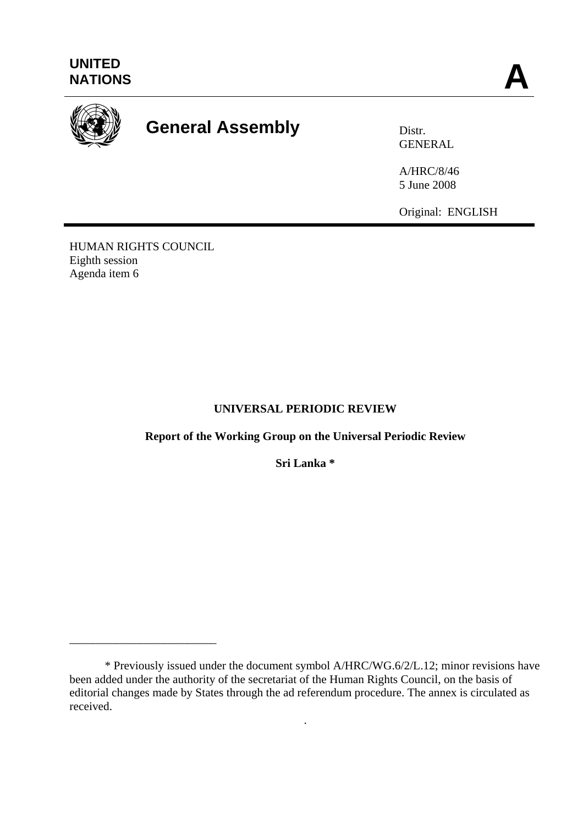

# **General Assembly Distra Distr.**

GENERAL

A/HRC/8/46 5 June 2008

Original: ENGLISH

HUMAN RIGHTS COUNCIL Eighth session Agenda item 6

\_\_\_\_\_\_\_\_\_\_\_\_\_\_\_\_\_\_\_\_\_\_\_\_\_

## **UNIVERSAL PERIODIC REVIEW**

**Report of the Working Group on the Universal Periodic Review** 

**Sri Lanka \*** 

.

 <sup>\*</sup> Previously issued under the document symbol A/HRC/WG.6/2/L.12; minor revisions have been added under the authority of the secretariat of the Human Rights Council, on the basis of editorial changes made by States through the ad referendum procedure. The annex is circulated as received.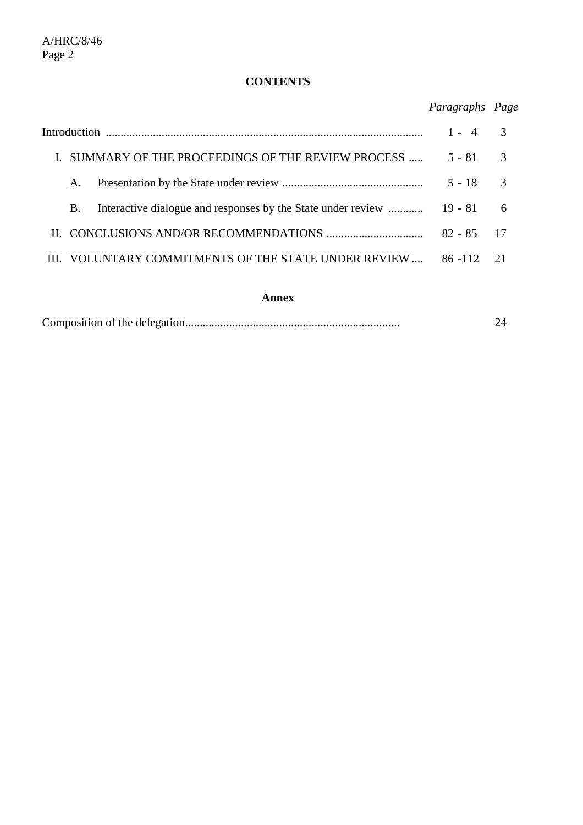# **CONTENTS**

# *Paragraphs Page*

|  |                                                  |                                                      | $1 - 4$    |               |
|--|--------------------------------------------------|------------------------------------------------------|------------|---------------|
|  | SUMMARY OF THE PROCEEDINGS OF THE REVIEW PROCESS |                                                      | $5 - 81$ 3 |               |
|  | A.                                               |                                                      | $5 - 18$   | $\mathcal{R}$ |
|  | <b>B.</b>                                        |                                                      |            |               |
|  |                                                  |                                                      |            |               |
|  |                                                  | III. VOLUNTARY COMMITMENTS OF THE STATE UNDER REVIEW | $86 - 112$ | $\gamma$ 1    |

#### **Annex**

|--|--|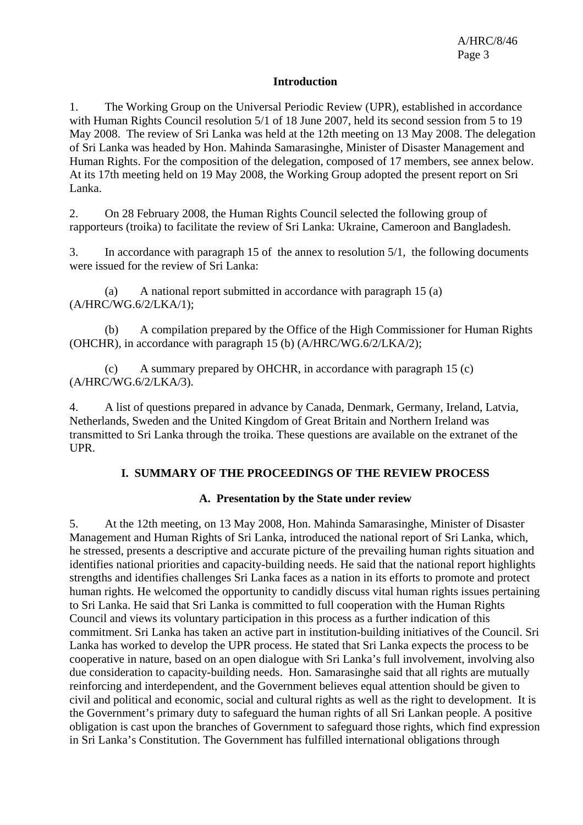#### **Introduction**

1. The Working Group on the Universal Periodic Review (UPR), established in accordance with Human Rights Council resolution 5/1 of 18 June 2007, held its second session from 5 to 19 May 2008. The review of Sri Lanka was held at the 12th meeting on 13 May 2008. The delegation of Sri Lanka was headed by Hon. Mahinda Samarasinghe, Minister of Disaster Management and Human Rights. For the composition of the delegation, composed of 17 members, see annex below. At its 17th meeting held on 19 May 2008, the Working Group adopted the present report on Sri Lanka.

2. On 28 February 2008, the Human Rights Council selected the following group of rapporteurs (troika) to facilitate the review of Sri Lanka: Ukraine, Cameroon and Bangladesh.

3. In accordance with paragraph 15 of the annex to resolution 5/1, the following documents were issued for the review of Sri Lanka:

 (a) A national report submitted in accordance with paragraph 15 (a) (A/HRC/WG.6/2/LKA/1);

 (b) A compilation prepared by the Office of the High Commissioner for Human Rights (OHCHR), in accordance with paragraph 15 (b) (A/HRC/WG.6/2/LKA/2);

 (c) A summary prepared by OHCHR, in accordance with paragraph 15 (c) (A/HRC/WG.6/2/LKA/3).

4. A list of questions prepared in advance by Canada, Denmark, Germany, Ireland, Latvia, Netherlands, Sweden and the United Kingdom of Great Britain and Northern Ireland was transmitted to Sri Lanka through the troika. These questions are available on the extranet of the UPR.

#### **I. SUMMARY OF THE PROCEEDINGS OF THE REVIEW PROCESS**

#### **A. Presentation by the State under review**

5. At the 12th meeting, on 13 May 2008, Hon. Mahinda Samarasinghe, Minister of Disaster Management and Human Rights of Sri Lanka, introduced the national report of Sri Lanka, which, he stressed, presents a descriptive and accurate picture of the prevailing human rights situation and identifies national priorities and capacity-building needs. He said that the national report highlights strengths and identifies challenges Sri Lanka faces as a nation in its efforts to promote and protect human rights. He welcomed the opportunity to candidly discuss vital human rights issues pertaining to Sri Lanka. He said that Sri Lanka is committed to full cooperation with the Human Rights Council and views its voluntary participation in this process as a further indication of this commitment. Sri Lanka has taken an active part in institution-building initiatives of the Council. Sri Lanka has worked to develop the UPR process. He stated that Sri Lanka expects the process to be cooperative in nature, based on an open dialogue with Sri Lanka's full involvement, involving also due consideration to capacity-building needs. Hon. Samarasinghe said that all rights are mutually reinforcing and interdependent, and the Government believes equal attention should be given to civil and political and economic, social and cultural rights as well as the right to development. It is the Government's primary duty to safeguard the human rights of all Sri Lankan people. A positive obligation is cast upon the branches of Government to safeguard those rights, which find expression in Sri Lanka's Constitution. The Government has fulfilled international obligations through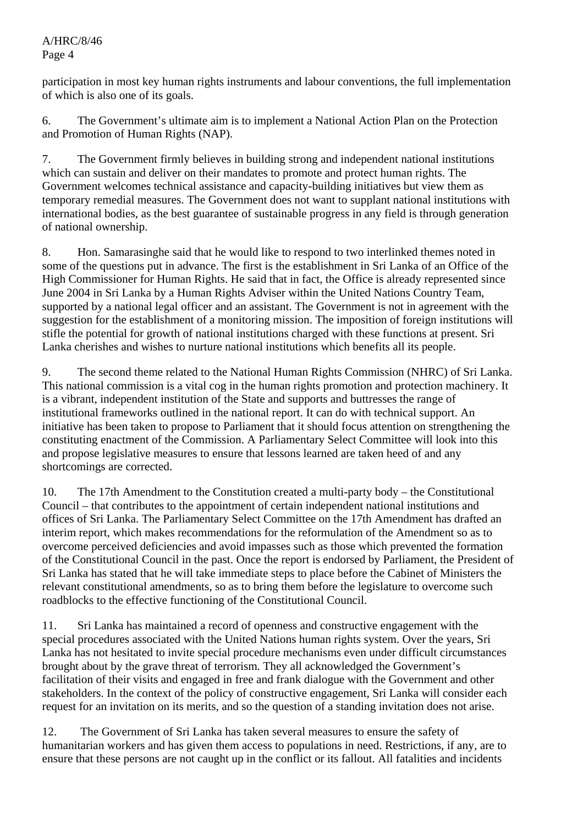participation in most key human rights instruments and labour conventions, the full implementation of which is also one of its goals.

6. The Government's ultimate aim is to implement a National Action Plan on the Protection and Promotion of Human Rights (NAP).

7. The Government firmly believes in building strong and independent national institutions which can sustain and deliver on their mandates to promote and protect human rights. The Government welcomes technical assistance and capacity-building initiatives but view them as temporary remedial measures. The Government does not want to supplant national institutions with international bodies, as the best guarantee of sustainable progress in any field is through generation of national ownership.

8. Hon. Samarasinghe said that he would like to respond to two interlinked themes noted in some of the questions put in advance. The first is the establishment in Sri Lanka of an Office of the High Commissioner for Human Rights. He said that in fact, the Office is already represented since June 2004 in Sri Lanka by a Human Rights Adviser within the United Nations Country Team, supported by a national legal officer and an assistant. The Government is not in agreement with the suggestion for the establishment of a monitoring mission. The imposition of foreign institutions will stifle the potential for growth of national institutions charged with these functions at present. Sri Lanka cherishes and wishes to nurture national institutions which benefits all its people.

9. The second theme related to the National Human Rights Commission (NHRC) of Sri Lanka. This national commission is a vital cog in the human rights promotion and protection machinery. It is a vibrant, independent institution of the State and supports and buttresses the range of institutional frameworks outlined in the national report. It can do with technical support. An initiative has been taken to propose to Parliament that it should focus attention on strengthening the constituting enactment of the Commission. A Parliamentary Select Committee will look into this and propose legislative measures to ensure that lessons learned are taken heed of and any shortcomings are corrected.

10. The 17th Amendment to the Constitution created a multi-party body – the Constitutional Council – that contributes to the appointment of certain independent national institutions and offices of Sri Lanka. The Parliamentary Select Committee on the 17th Amendment has drafted an interim report, which makes recommendations for the reformulation of the Amendment so as to overcome perceived deficiencies and avoid impasses such as those which prevented the formation of the Constitutional Council in the past. Once the report is endorsed by Parliament, the President of Sri Lanka has stated that he will take immediate steps to place before the Cabinet of Ministers the relevant constitutional amendments, so as to bring them before the legislature to overcome such roadblocks to the effective functioning of the Constitutional Council.

11. Sri Lanka has maintained a record of openness and constructive engagement with the special procedures associated with the United Nations human rights system. Over the years, Sri Lanka has not hesitated to invite special procedure mechanisms even under difficult circumstances brought about by the grave threat of terrorism. They all acknowledged the Government's facilitation of their visits and engaged in free and frank dialogue with the Government and other stakeholders. In the context of the policy of constructive engagement, Sri Lanka will consider each request for an invitation on its merits, and so the question of a standing invitation does not arise.

12. The Government of Sri Lanka has taken several measures to ensure the safety of humanitarian workers and has given them access to populations in need. Restrictions, if any, are to ensure that these persons are not caught up in the conflict or its fallout. All fatalities and incidents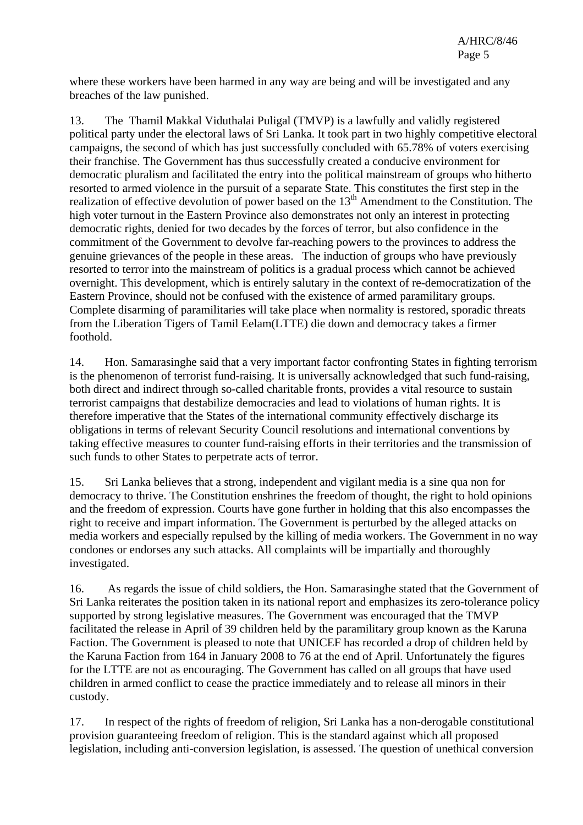where these workers have been harmed in any way are being and will be investigated and any breaches of the law punished.

13. The Thamil Makkal Viduthalai Puligal (TMVP) is a lawfully and validly registered political party under the electoral laws of Sri Lanka. It took part in two highly competitive electoral campaigns, the second of which has just successfully concluded with 65.78% of voters exercising their franchise. The Government has thus successfully created a conducive environment for democratic pluralism and facilitated the entry into the political mainstream of groups who hitherto resorted to armed violence in the pursuit of a separate State. This constitutes the first step in the realization of effective devolution of power based on the  $13<sup>th</sup>$  Amendment to the Constitution. The high voter turnout in the Eastern Province also demonstrates not only an interest in protecting democratic rights, denied for two decades by the forces of terror, but also confidence in the commitment of the Government to devolve far-reaching powers to the provinces to address the genuine grievances of the people in these areas. The induction of groups who have previously resorted to terror into the mainstream of politics is a gradual process which cannot be achieved overnight. This development, which is entirely salutary in the context of re-democratization of the Eastern Province, should not be confused with the existence of armed paramilitary groups. Complete disarming of paramilitaries will take place when normality is restored, sporadic threats from the Liberation Tigers of Tamil Eelam(LTTE) die down and democracy takes a firmer foothold.

14. Hon. Samarasinghe said that a very important factor confronting States in fighting terrorism is the phenomenon of terrorist fund-raising. It is universally acknowledged that such fund-raising, both direct and indirect through so-called charitable fronts, provides a vital resource to sustain terrorist campaigns that destabilize democracies and lead to violations of human rights. It is therefore imperative that the States of the international community effectively discharge its obligations in terms of relevant Security Council resolutions and international conventions by taking effective measures to counter fund-raising efforts in their territories and the transmission of such funds to other States to perpetrate acts of terror.

15. Sri Lanka believes that a strong, independent and vigilant media is a sine qua non for democracy to thrive. The Constitution enshrines the freedom of thought, the right to hold opinions and the freedom of expression. Courts have gone further in holding that this also encompasses the right to receive and impart information. The Government is perturbed by the alleged attacks on media workers and especially repulsed by the killing of media workers. The Government in no way condones or endorses any such attacks. All complaints will be impartially and thoroughly investigated.

16. As regards the issue of child soldiers, the Hon. Samarasinghe stated that the Government of Sri Lanka reiterates the position taken in its national report and emphasizes its zero-tolerance policy supported by strong legislative measures. The Government was encouraged that the TMVP facilitated the release in April of 39 children held by the paramilitary group known as the Karuna Faction. The Government is pleased to note that UNICEF has recorded a drop of children held by the Karuna Faction from 164 in January 2008 to 76 at the end of April. Unfortunately the figures for the LTTE are not as encouraging. The Government has called on all groups that have used children in armed conflict to cease the practice immediately and to release all minors in their custody.

17. In respect of the rights of freedom of religion, Sri Lanka has a non-derogable constitutional provision guaranteeing freedom of religion. This is the standard against which all proposed legislation, including anti-conversion legislation, is assessed. The question of unethical conversion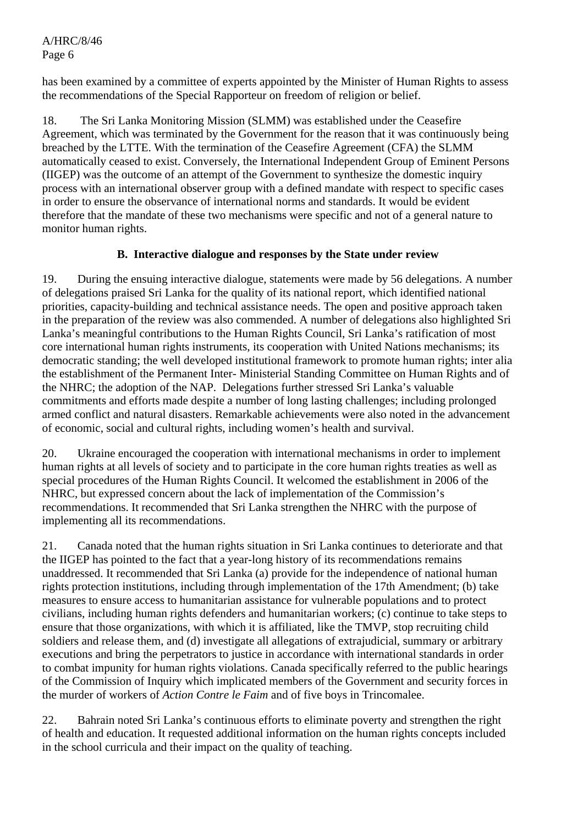has been examined by a committee of experts appointed by the Minister of Human Rights to assess the recommendations of the Special Rapporteur on freedom of religion or belief.

18. The Sri Lanka Monitoring Mission (SLMM) was established under the Ceasefire Agreement, which was terminated by the Government for the reason that it was continuously being breached by the LTTE. With the termination of the Ceasefire Agreement (CFA) the SLMM automatically ceased to exist. Conversely, the International Independent Group of Eminent Persons (IIGEP) was the outcome of an attempt of the Government to synthesize the domestic inquiry process with an international observer group with a defined mandate with respect to specific cases in order to ensure the observance of international norms and standards. It would be evident therefore that the mandate of these two mechanisms were specific and not of a general nature to monitor human rights.

### **B. Interactive dialogue and responses by the State under review**

19. During the ensuing interactive dialogue, statements were made by 56 delegations. A number of delegations praised Sri Lanka for the quality of its national report, which identified national priorities, capacity-building and technical assistance needs. The open and positive approach taken in the preparation of the review was also commended. A number of delegations also highlighted Sri Lanka's meaningful contributions to the Human Rights Council, Sri Lanka's ratification of most core international human rights instruments, its cooperation with United Nations mechanisms; its democratic standing; the well developed institutional framework to promote human rights; inter alia the establishment of the Permanent Inter- Ministerial Standing Committee on Human Rights and of the NHRC; the adoption of the NAP. Delegations further stressed Sri Lanka's valuable commitments and efforts made despite a number of long lasting challenges; including prolonged armed conflict and natural disasters. Remarkable achievements were also noted in the advancement of economic, social and cultural rights, including women's health and survival.

20. Ukraine encouraged the cooperation with international mechanisms in order to implement human rights at all levels of society and to participate in the core human rights treaties as well as special procedures of the Human Rights Council. It welcomed the establishment in 2006 of the NHRC, but expressed concern about the lack of implementation of the Commission's recommendations. It recommended that Sri Lanka strengthen the NHRC with the purpose of implementing all its recommendations.

21. Canada noted that the human rights situation in Sri Lanka continues to deteriorate and that the IIGEP has pointed to the fact that a year-long history of its recommendations remains unaddressed. It recommended that Sri Lanka (a) provide for the independence of national human rights protection institutions, including through implementation of the 17th Amendment; (b) take measures to ensure access to humanitarian assistance for vulnerable populations and to protect civilians, including human rights defenders and humanitarian workers; (c) continue to take steps to ensure that those organizations, with which it is affiliated, like the TMVP, stop recruiting child soldiers and release them, and (d) investigate all allegations of extrajudicial, summary or arbitrary executions and bring the perpetrators to justice in accordance with international standards in order to combat impunity for human rights violations. Canada specifically referred to the public hearings of the Commission of Inquiry which implicated members of the Government and security forces in the murder of workers of *Action Contre le Faim* and of five boys in Trincomalee.

22. Bahrain noted Sri Lanka's continuous efforts to eliminate poverty and strengthen the right of health and education. It requested additional information on the human rights concepts included in the school curricula and their impact on the quality of teaching.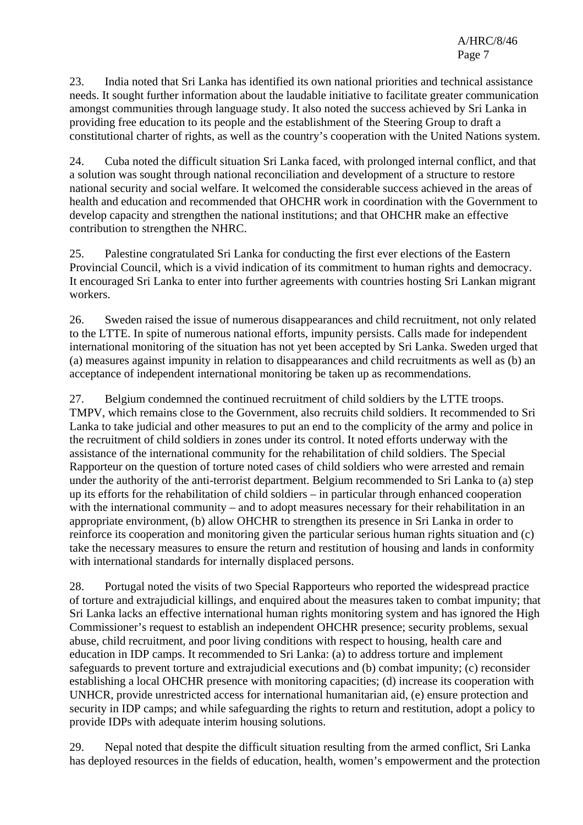23. India noted that Sri Lanka has identified its own national priorities and technical assistance needs. It sought further information about the laudable initiative to facilitate greater communication amongst communities through language study. It also noted the success achieved by Sri Lanka in providing free education to its people and the establishment of the Steering Group to draft a constitutional charter of rights, as well as the country's cooperation with the United Nations system.

24. Cuba noted the difficult situation Sri Lanka faced, with prolonged internal conflict, and that a solution was sought through national reconciliation and development of a structure to restore national security and social welfare. It welcomed the considerable success achieved in the areas of health and education and recommended that OHCHR work in coordination with the Government to develop capacity and strengthen the national institutions; and that OHCHR make an effective contribution to strengthen the NHRC.

25. Palestine congratulated Sri Lanka for conducting the first ever elections of the Eastern Provincial Council, which is a vivid indication of its commitment to human rights and democracy. It encouraged Sri Lanka to enter into further agreements with countries hosting Sri Lankan migrant workers.

26. Sweden raised the issue of numerous disappearances and child recruitment, not only related to the LTTE. In spite of numerous national efforts, impunity persists. Calls made for independent international monitoring of the situation has not yet been accepted by Sri Lanka. Sweden urged that (a) measures against impunity in relation to disappearances and child recruitments as well as (b) an acceptance of independent international monitoring be taken up as recommendations.

27. Belgium condemned the continued recruitment of child soldiers by the LTTE troops. TMPV, which remains close to the Government, also recruits child soldiers. It recommended to Sri Lanka to take judicial and other measures to put an end to the complicity of the army and police in the recruitment of child soldiers in zones under its control. It noted efforts underway with the assistance of the international community for the rehabilitation of child soldiers. The Special Rapporteur on the question of torture noted cases of child soldiers who were arrested and remain under the authority of the anti-terrorist department. Belgium recommended to Sri Lanka to (a) step up its efforts for the rehabilitation of child soldiers – in particular through enhanced cooperation with the international community – and to adopt measures necessary for their rehabilitation in an appropriate environment, (b) allow OHCHR to strengthen its presence in Sri Lanka in order to reinforce its cooperation and monitoring given the particular serious human rights situation and (c) take the necessary measures to ensure the return and restitution of housing and lands in conformity with international standards for internally displaced persons.

28. Portugal noted the visits of two Special Rapporteurs who reported the widespread practice of torture and extrajudicial killings, and enquired about the measures taken to combat impunity; that Sri Lanka lacks an effective international human rights monitoring system and has ignored the High Commissioner's request to establish an independent OHCHR presence; security problems, sexual abuse, child recruitment, and poor living conditions with respect to housing, health care and education in IDP camps. It recommended to Sri Lanka: (a) to address torture and implement safeguards to prevent torture and extrajudicial executions and (b) combat impunity; (c) reconsider establishing a local OHCHR presence with monitoring capacities; (d) increase its cooperation with UNHCR, provide unrestricted access for international humanitarian aid, (e) ensure protection and security in IDP camps; and while safeguarding the rights to return and restitution, adopt a policy to provide IDPs with adequate interim housing solutions.

29. Nepal noted that despite the difficult situation resulting from the armed conflict, Sri Lanka has deployed resources in the fields of education, health, women's empowerment and the protection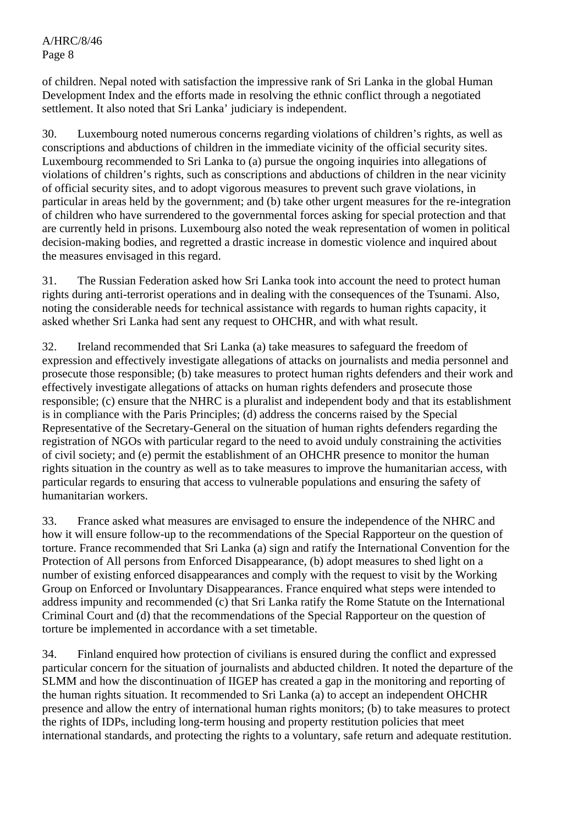of children. Nepal noted with satisfaction the impressive rank of Sri Lanka in the global Human Development Index and the efforts made in resolving the ethnic conflict through a negotiated settlement. It also noted that Sri Lanka' judiciary is independent.

30. Luxembourg noted numerous concerns regarding violations of children's rights, as well as conscriptions and abductions of children in the immediate vicinity of the official security sites. Luxembourg recommended to Sri Lanka to (a) pursue the ongoing inquiries into allegations of violations of children's rights, such as conscriptions and abductions of children in the near vicinity of official security sites, and to adopt vigorous measures to prevent such grave violations, in particular in areas held by the government; and (b) take other urgent measures for the re-integration of children who have surrendered to the governmental forces asking for special protection and that are currently held in prisons. Luxembourg also noted the weak representation of women in political decision-making bodies, and regretted a drastic increase in domestic violence and inquired about the measures envisaged in this regard.

31. The Russian Federation asked how Sri Lanka took into account the need to protect human rights during anti-terrorist operations and in dealing with the consequences of the Tsunami. Also, noting the considerable needs for technical assistance with regards to human rights capacity, it asked whether Sri Lanka had sent any request to OHCHR, and with what result.

32. Ireland recommended that Sri Lanka (a) take measures to safeguard the freedom of expression and effectively investigate allegations of attacks on journalists and media personnel and prosecute those responsible; (b) take measures to protect human rights defenders and their work and effectively investigate allegations of attacks on human rights defenders and prosecute those responsible; (c) ensure that the NHRC is a pluralist and independent body and that its establishment is in compliance with the Paris Principles; (d) address the concerns raised by the Special Representative of the Secretary-General on the situation of human rights defenders regarding the registration of NGOs with particular regard to the need to avoid unduly constraining the activities of civil society; and (e) permit the establishment of an OHCHR presence to monitor the human rights situation in the country as well as to take measures to improve the humanitarian access, with particular regards to ensuring that access to vulnerable populations and ensuring the safety of humanitarian workers.

33. France asked what measures are envisaged to ensure the independence of the NHRC and how it will ensure follow-up to the recommendations of the Special Rapporteur on the question of torture. France recommended that Sri Lanka (a) sign and ratify the International Convention for the Protection of All persons from Enforced Disappearance, (b) adopt measures to shed light on a number of existing enforced disappearances and comply with the request to visit by the Working Group on Enforced or Involuntary Disappearances. France enquired what steps were intended to address impunity and recommended (c) that Sri Lanka ratify the Rome Statute on the International Criminal Court and (d) that the recommendations of the Special Rapporteur on the question of torture be implemented in accordance with a set timetable.

34. Finland enquired how protection of civilians is ensured during the conflict and expressed particular concern for the situation of journalists and abducted children. It noted the departure of the SLMM and how the discontinuation of IIGEP has created a gap in the monitoring and reporting of the human rights situation. It recommended to Sri Lanka (a) to accept an independent OHCHR presence and allow the entry of international human rights monitors; (b) to take measures to protect the rights of IDPs, including long-term housing and property restitution policies that meet international standards, and protecting the rights to a voluntary, safe return and adequate restitution.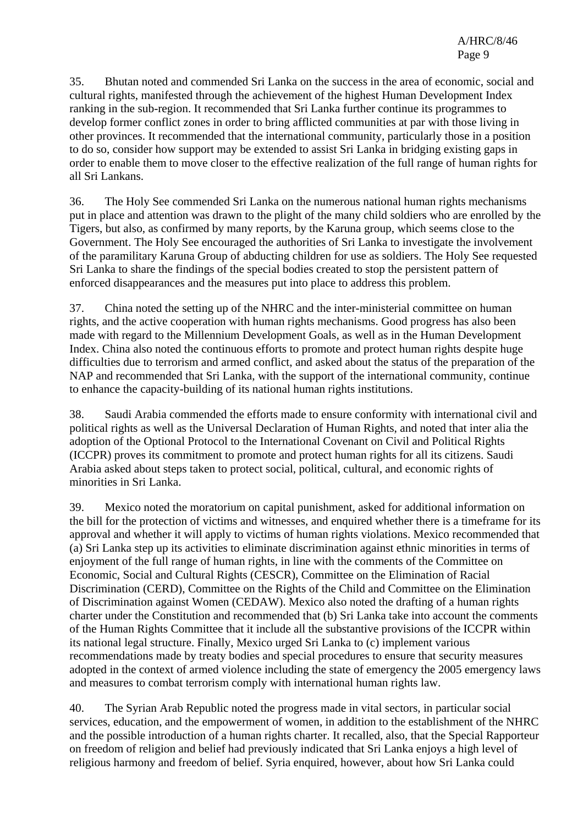35. Bhutan noted and commended Sri Lanka on the success in the area of economic, social and cultural rights, manifested through the achievement of the highest Human Development Index ranking in the sub-region. It recommended that Sri Lanka further continue its programmes to develop former conflict zones in order to bring afflicted communities at par with those living in other provinces. It recommended that the international community, particularly those in a position to do so, consider how support may be extended to assist Sri Lanka in bridging existing gaps in order to enable them to move closer to the effective realization of the full range of human rights for all Sri Lankans.

36. The Holy See commended Sri Lanka on the numerous national human rights mechanisms put in place and attention was drawn to the plight of the many child soldiers who are enrolled by the Tigers, but also, as confirmed by many reports, by the Karuna group, which seems close to the Government. The Holy See encouraged the authorities of Sri Lanka to investigate the involvement of the paramilitary Karuna Group of abducting children for use as soldiers. The Holy See requested Sri Lanka to share the findings of the special bodies created to stop the persistent pattern of enforced disappearances and the measures put into place to address this problem.

37. China noted the setting up of the NHRC and the inter-ministerial committee on human rights, and the active cooperation with human rights mechanisms. Good progress has also been made with regard to the Millennium Development Goals, as well as in the Human Development Index. China also noted the continuous efforts to promote and protect human rights despite huge difficulties due to terrorism and armed conflict, and asked about the status of the preparation of the NAP and recommended that Sri Lanka, with the support of the international community, continue to enhance the capacity-building of its national human rights institutions.

38. Saudi Arabia commended the efforts made to ensure conformity with international civil and political rights as well as the Universal Declaration of Human Rights, and noted that inter alia the adoption of the Optional Protocol to the International Covenant on Civil and Political Rights (ICCPR) proves its commitment to promote and protect human rights for all its citizens. Saudi Arabia asked about steps taken to protect social, political, cultural, and economic rights of minorities in Sri Lanka.

39. Mexico noted the moratorium on capital punishment, asked for additional information on the bill for the protection of victims and witnesses, and enquired whether there is a timeframe for its approval and whether it will apply to victims of human rights violations. Mexico recommended that (a) Sri Lanka step up its activities to eliminate discrimination against ethnic minorities in terms of enjoyment of the full range of human rights, in line with the comments of the Committee on Economic, Social and Cultural Rights (CESCR), Committee on the Elimination of Racial Discrimination (CERD), Committee on the Rights of the Child and Committee on the Elimination of Discrimination against Women (CEDAW). Mexico also noted the drafting of a human rights charter under the Constitution and recommended that (b) Sri Lanka take into account the comments of the Human Rights Committee that it include all the substantive provisions of the ICCPR within its national legal structure. Finally, Mexico urged Sri Lanka to (c) implement various recommendations made by treaty bodies and special procedures to ensure that security measures adopted in the context of armed violence including the state of emergency the 2005 emergency laws and measures to combat terrorism comply with international human rights law.

40. The Syrian Arab Republic noted the progress made in vital sectors, in particular social services, education, and the empowerment of women, in addition to the establishment of the NHRC and the possible introduction of a human rights charter. It recalled, also, that the Special Rapporteur on freedom of religion and belief had previously indicated that Sri Lanka enjoys a high level of religious harmony and freedom of belief. Syria enquired, however, about how Sri Lanka could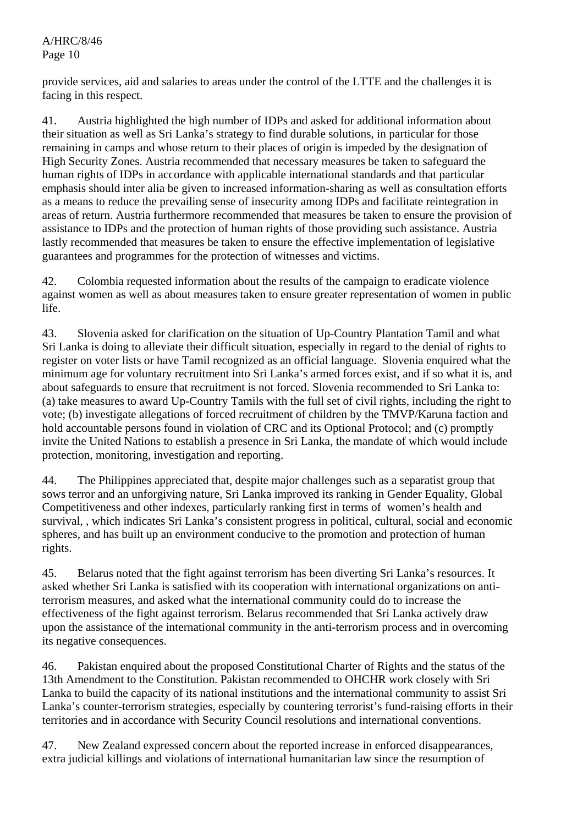provide services, aid and salaries to areas under the control of the LTTE and the challenges it is facing in this respect.

41. Austria highlighted the high number of IDPs and asked for additional information about their situation as well as Sri Lanka's strategy to find durable solutions, in particular for those remaining in camps and whose return to their places of origin is impeded by the designation of High Security Zones. Austria recommended that necessary measures be taken to safeguard the human rights of IDPs in accordance with applicable international standards and that particular emphasis should inter alia be given to increased information-sharing as well as consultation efforts as a means to reduce the prevailing sense of insecurity among IDPs and facilitate reintegration in areas of return. Austria furthermore recommended that measures be taken to ensure the provision of assistance to IDPs and the protection of human rights of those providing such assistance. Austria lastly recommended that measures be taken to ensure the effective implementation of legislative guarantees and programmes for the protection of witnesses and victims.

42. Colombia requested information about the results of the campaign to eradicate violence against women as well as about measures taken to ensure greater representation of women in public life.

43. Slovenia asked for clarification on the situation of Up-Country Plantation Tamil and what Sri Lanka is doing to alleviate their difficult situation, especially in regard to the denial of rights to register on voter lists or have Tamil recognized as an official language. Slovenia enquired what the minimum age for voluntary recruitment into Sri Lanka's armed forces exist, and if so what it is, and about safeguards to ensure that recruitment is not forced. Slovenia recommended to Sri Lanka to: (a) take measures to award Up-Country Tamils with the full set of civil rights, including the right to vote; (b) investigate allegations of forced recruitment of children by the TMVP/Karuna faction and hold accountable persons found in violation of CRC and its Optional Protocol; and (c) promptly invite the United Nations to establish a presence in Sri Lanka, the mandate of which would include protection, monitoring, investigation and reporting.

44. The Philippines appreciated that, despite major challenges such as a separatist group that sows terror and an unforgiving nature, Sri Lanka improved its ranking in Gender Equality, Global Competitiveness and other indexes, particularly ranking first in terms of women's health and survival, , which indicates Sri Lanka's consistent progress in political, cultural, social and economic spheres, and has built up an environment conducive to the promotion and protection of human rights.

45. Belarus noted that the fight against terrorism has been diverting Sri Lanka's resources. It asked whether Sri Lanka is satisfied with its cooperation with international organizations on antiterrorism measures, and asked what the international community could do to increase the effectiveness of the fight against terrorism. Belarus recommended that Sri Lanka actively draw upon the assistance of the international community in the anti-terrorism process and in overcoming its negative consequences.

46. Pakistan enquired about the proposed Constitutional Charter of Rights and the status of the 13th Amendment to the Constitution. Pakistan recommended to OHCHR work closely with Sri Lanka to build the capacity of its national institutions and the international community to assist Sri Lanka's counter-terrorism strategies, especially by countering terrorist's fund-raising efforts in their territories and in accordance with Security Council resolutions and international conventions.

47. New Zealand expressed concern about the reported increase in enforced disappearances, extra judicial killings and violations of international humanitarian law since the resumption of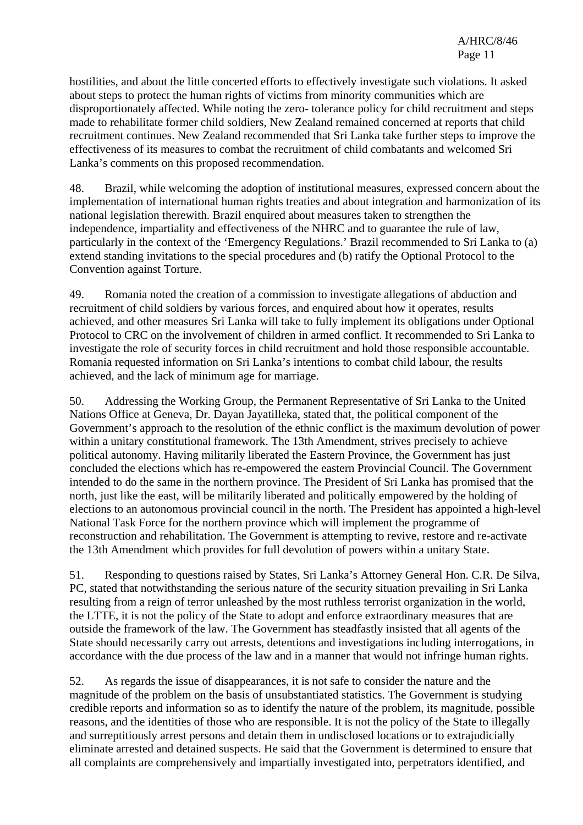hostilities, and about the little concerted efforts to effectively investigate such violations. It asked about steps to protect the human rights of victims from minority communities which are disproportionately affected. While noting the zero- tolerance policy for child recruitment and steps made to rehabilitate former child soldiers, New Zealand remained concerned at reports that child recruitment continues. New Zealand recommended that Sri Lanka take further steps to improve the effectiveness of its measures to combat the recruitment of child combatants and welcomed Sri Lanka's comments on this proposed recommendation.

48. Brazil, while welcoming the adoption of institutional measures, expressed concern about the implementation of international human rights treaties and about integration and harmonization of its national legislation therewith. Brazil enquired about measures taken to strengthen the independence, impartiality and effectiveness of the NHRC and to guarantee the rule of law, particularly in the context of the 'Emergency Regulations.' Brazil recommended to Sri Lanka to (a) extend standing invitations to the special procedures and (b) ratify the Optional Protocol to the Convention against Torture.

49. Romania noted the creation of a commission to investigate allegations of abduction and recruitment of child soldiers by various forces, and enquired about how it operates, results achieved, and other measures Sri Lanka will take to fully implement its obligations under Optional Protocol to CRC on the involvement of children in armed conflict. It recommended to Sri Lanka to investigate the role of security forces in child recruitment and hold those responsible accountable. Romania requested information on Sri Lanka's intentions to combat child labour, the results achieved, and the lack of minimum age for marriage.

50. Addressing the Working Group, the Permanent Representative of Sri Lanka to the United Nations Office at Geneva, Dr. Dayan Jayatilleka, stated that, the political component of the Government's approach to the resolution of the ethnic conflict is the maximum devolution of power within a unitary constitutional framework. The 13th Amendment, strives precisely to achieve political autonomy. Having militarily liberated the Eastern Province, the Government has just concluded the elections which has re-empowered the eastern Provincial Council. The Government intended to do the same in the northern province. The President of Sri Lanka has promised that the north, just like the east, will be militarily liberated and politically empowered by the holding of elections to an autonomous provincial council in the north. The President has appointed a high-level National Task Force for the northern province which will implement the programme of reconstruction and rehabilitation. The Government is attempting to revive, restore and re-activate the 13th Amendment which provides for full devolution of powers within a unitary State.

51. Responding to questions raised by States, Sri Lanka's Attorney General Hon. C.R. De Silva, PC, stated that notwithstanding the serious nature of the security situation prevailing in Sri Lanka resulting from a reign of terror unleashed by the most ruthless terrorist organization in the world, the LTTE, it is not the policy of the State to adopt and enforce extraordinary measures that are outside the framework of the law. The Government has steadfastly insisted that all agents of the State should necessarily carry out arrests, detentions and investigations including interrogations, in accordance with the due process of the law and in a manner that would not infringe human rights.

52. As regards the issue of disappearances, it is not safe to consider the nature and the magnitude of the problem on the basis of unsubstantiated statistics. The Government is studying credible reports and information so as to identify the nature of the problem, its magnitude, possible reasons, and the identities of those who are responsible. It is not the policy of the State to illegally and surreptitiously arrest persons and detain them in undisclosed locations or to extrajudicially eliminate arrested and detained suspects. He said that the Government is determined to ensure that all complaints are comprehensively and impartially investigated into, perpetrators identified, and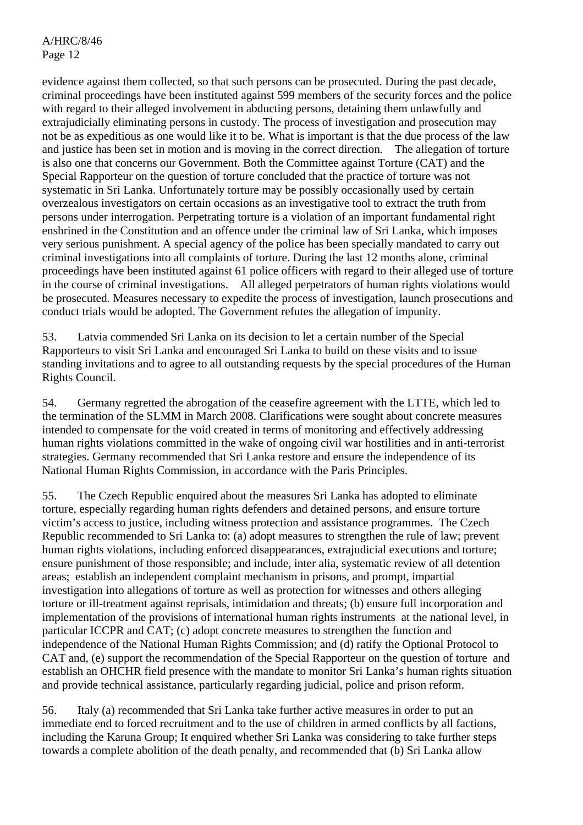evidence against them collected, so that such persons can be prosecuted. During the past decade, criminal proceedings have been instituted against 599 members of the security forces and the police with regard to their alleged involvement in abducting persons, detaining them unlawfully and extrajudicially eliminating persons in custody. The process of investigation and prosecution may not be as expeditious as one would like it to be. What is important is that the due process of the law and justice has been set in motion and is moving in the correct direction. The allegation of torture is also one that concerns our Government. Both the Committee against Torture (CAT) and the Special Rapporteur on the question of torture concluded that the practice of torture was not systematic in Sri Lanka. Unfortunately torture may be possibly occasionally used by certain overzealous investigators on certain occasions as an investigative tool to extract the truth from persons under interrogation. Perpetrating torture is a violation of an important fundamental right enshrined in the Constitution and an offence under the criminal law of Sri Lanka, which imposes very serious punishment. A special agency of the police has been specially mandated to carry out criminal investigations into all complaints of torture. During the last 12 months alone, criminal proceedings have been instituted against 61 police officers with regard to their alleged use of torture in the course of criminal investigations. All alleged perpetrators of human rights violations would be prosecuted. Measures necessary to expedite the process of investigation, launch prosecutions and conduct trials would be adopted. The Government refutes the allegation of impunity.

53. Latvia commended Sri Lanka on its decision to let a certain number of the Special Rapporteurs to visit Sri Lanka and encouraged Sri Lanka to build on these visits and to issue standing invitations and to agree to all outstanding requests by the special procedures of the Human Rights Council.

54. Germany regretted the abrogation of the ceasefire agreement with the LTTE, which led to the termination of the SLMM in March 2008. Clarifications were sought about concrete measures intended to compensate for the void created in terms of monitoring and effectively addressing human rights violations committed in the wake of ongoing civil war hostilities and in anti-terrorist strategies. Germany recommended that Sri Lanka restore and ensure the independence of its National Human Rights Commission, in accordance with the Paris Principles.

55. The Czech Republic enquired about the measures Sri Lanka has adopted to eliminate torture, especially regarding human rights defenders and detained persons, and ensure torture victim's access to justice, including witness protection and assistance programmes. The Czech Republic recommended to Sri Lanka to: (a) adopt measures to strengthen the rule of law; prevent human rights violations, including enforced disappearances, extrajudicial executions and torture; ensure punishment of those responsible; and include, inter alia, systematic review of all detention areas; establish an independent complaint mechanism in prisons, and prompt, impartial investigation into allegations of torture as well as protection for witnesses and others alleging torture or ill-treatment against reprisals, intimidation and threats; (b) ensure full incorporation and implementation of the provisions of international human rights instruments at the national level, in particular ICCPR and CAT; (c) adopt concrete measures to strengthen the function and independence of the National Human Rights Commission; and (d) ratify the Optional Protocol to CAT and, (e) support the recommendation of the Special Rapporteur on the question of torture and establish an OHCHR field presence with the mandate to monitor Sri Lanka's human rights situation and provide technical assistance, particularly regarding judicial, police and prison reform.

56. Italy (a) recommended that Sri Lanka take further active measures in order to put an immediate end to forced recruitment and to the use of children in armed conflicts by all factions, including the Karuna Group; It enquired whether Sri Lanka was considering to take further steps towards a complete abolition of the death penalty, and recommended that (b) Sri Lanka allow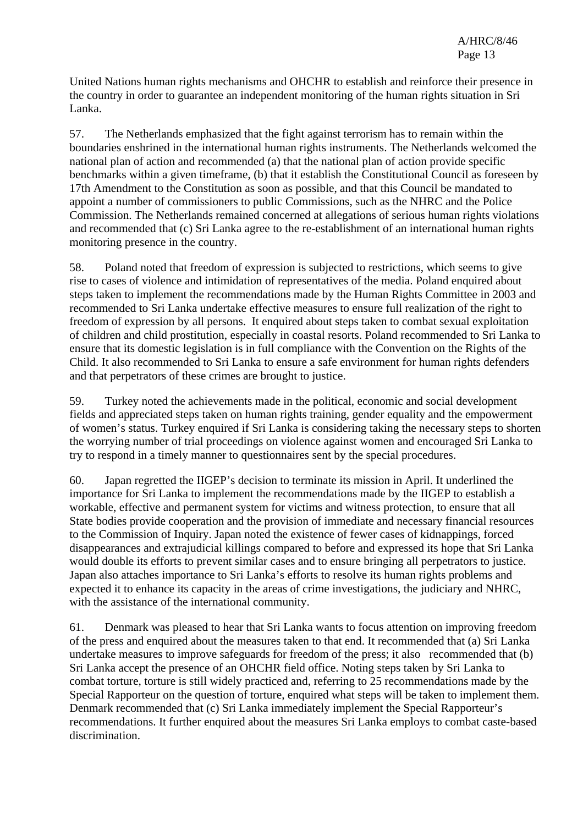United Nations human rights mechanisms and OHCHR to establish and reinforce their presence in the country in order to guarantee an independent monitoring of the human rights situation in Sri Lanka.

57. The Netherlands emphasized that the fight against terrorism has to remain within the boundaries enshrined in the international human rights instruments. The Netherlands welcomed the national plan of action and recommended (a) that the national plan of action provide specific benchmarks within a given timeframe, (b) that it establish the Constitutional Council as foreseen by 17th Amendment to the Constitution as soon as possible, and that this Council be mandated to appoint a number of commissioners to public Commissions, such as the NHRC and the Police Commission. The Netherlands remained concerned at allegations of serious human rights violations and recommended that (c) Sri Lanka agree to the re-establishment of an international human rights monitoring presence in the country.

58. Poland noted that freedom of expression is subjected to restrictions, which seems to give rise to cases of violence and intimidation of representatives of the media. Poland enquired about steps taken to implement the recommendations made by the Human Rights Committee in 2003 and recommended to Sri Lanka undertake effective measures to ensure full realization of the right to freedom of expression by all persons. It enquired about steps taken to combat sexual exploitation of children and child prostitution, especially in coastal resorts. Poland recommended to Sri Lanka to ensure that its domestic legislation is in full compliance with the Convention on the Rights of the Child. It also recommended to Sri Lanka to ensure a safe environment for human rights defenders and that perpetrators of these crimes are brought to justice.

59. Turkey noted the achievements made in the political, economic and social development fields and appreciated steps taken on human rights training, gender equality and the empowerment of women's status. Turkey enquired if Sri Lanka is considering taking the necessary steps to shorten the worrying number of trial proceedings on violence against women and encouraged Sri Lanka to try to respond in a timely manner to questionnaires sent by the special procedures.

60. Japan regretted the IIGEP's decision to terminate its mission in April. It underlined the importance for Sri Lanka to implement the recommendations made by the IIGEP to establish a workable, effective and permanent system for victims and witness protection, to ensure that all State bodies provide cooperation and the provision of immediate and necessary financial resources to the Commission of Inquiry. Japan noted the existence of fewer cases of kidnappings, forced disappearances and extrajudicial killings compared to before and expressed its hope that Sri Lanka would double its efforts to prevent similar cases and to ensure bringing all perpetrators to justice. Japan also attaches importance to Sri Lanka's efforts to resolve its human rights problems and expected it to enhance its capacity in the areas of crime investigations, the judiciary and NHRC, with the assistance of the international community.

61. Denmark was pleased to hear that Sri Lanka wants to focus attention on improving freedom of the press and enquired about the measures taken to that end. It recommended that (a) Sri Lanka undertake measures to improve safeguards for freedom of the press; it also recommended that (b) Sri Lanka accept the presence of an OHCHR field office. Noting steps taken by Sri Lanka to combat torture, torture is still widely practiced and, referring to 25 recommendations made by the Special Rapporteur on the question of torture, enquired what steps will be taken to implement them. Denmark recommended that (c) Sri Lanka immediately implement the Special Rapporteur's recommendations. It further enquired about the measures Sri Lanka employs to combat caste-based discrimination.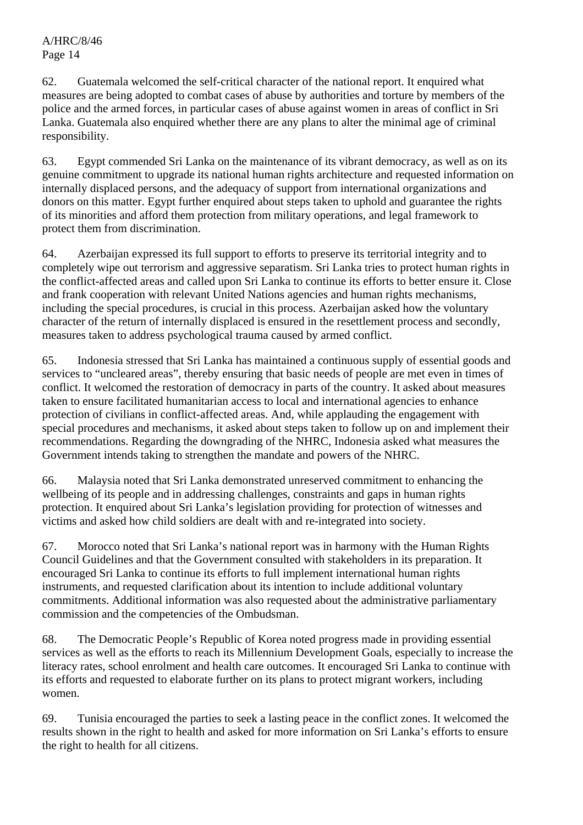62. Guatemala welcomed the self-critical character of the national report. It enquired what measures are being adopted to combat cases of abuse by authorities and torture by members of the police and the armed forces, in particular cases of abuse against women in areas of conflict in Sri Lanka. Guatemala also enquired whether there are any plans to alter the minimal age of criminal responsibility.

63. Egypt commended Sri Lanka on the maintenance of its vibrant democracy, as well as on its genuine commitment to upgrade its national human rights architecture and requested information on internally displaced persons, and the adequacy of support from international organizations and donors on this matter. Egypt further enquired about steps taken to uphold and guarantee the rights of its minorities and afford them protection from military operations, and legal framework to protect them from discrimination.

64. Azerbaijan expressed its full support to efforts to preserve its territorial integrity and to completely wipe out terrorism and aggressive separatism. Sri Lanka tries to protect human rights in the conflict-affected areas and called upon Sri Lanka to continue its efforts to better ensure it. Close and frank cooperation with relevant United Nations agencies and human rights mechanisms, including the special procedures, is crucial in this process. Azerbaijan asked how the voluntary character of the return of internally displaced is ensured in the resettlement process and secondly, measures taken to address psychological trauma caused by armed conflict.

65. Indonesia stressed that Sri Lanka has maintained a continuous supply of essential goods and services to "uncleared areas", thereby ensuring that basic needs of people are met even in times of conflict. It welcomed the restoration of democracy in parts of the country. It asked about measures taken to ensure facilitated humanitarian access to local and international agencies to enhance protection of civilians in conflict-affected areas. And, while applauding the engagement with special procedures and mechanisms, it asked about steps taken to follow up on and implement their recommendations. Regarding the downgrading of the NHRC, Indonesia asked what measures the Government intends taking to strengthen the mandate and powers of the NHRC.

66. Malaysia noted that Sri Lanka demonstrated unreserved commitment to enhancing the wellbeing of its people and in addressing challenges, constraints and gaps in human rights protection. It enquired about Sri Lanka's legislation providing for protection of witnesses and victims and asked how child soldiers are dealt with and re-integrated into society.

67. Morocco noted that Sri Lanka's national report was in harmony with the Human Rights Council Guidelines and that the Government consulted with stakeholders in its preparation. It encouraged Sri Lanka to continue its efforts to full implement international human rights instruments, and requested clarification about its intention to include additional voluntary commitments. Additional information was also requested about the administrative parliamentary commission and the competencies of the Ombudsman.

68. The Democratic People's Republic of Korea noted progress made in providing essential services as well as the efforts to reach its Millennium Development Goals, especially to increase the literacy rates, school enrolment and health care outcomes. It encouraged Sri Lanka to continue with its efforts and requested to elaborate further on its plans to protect migrant workers, including women.

69. Tunisia encouraged the parties to seek a lasting peace in the conflict zones. It welcomed the results shown in the right to health and asked for more information on Sri Lanka's efforts to ensure the right to health for all citizens.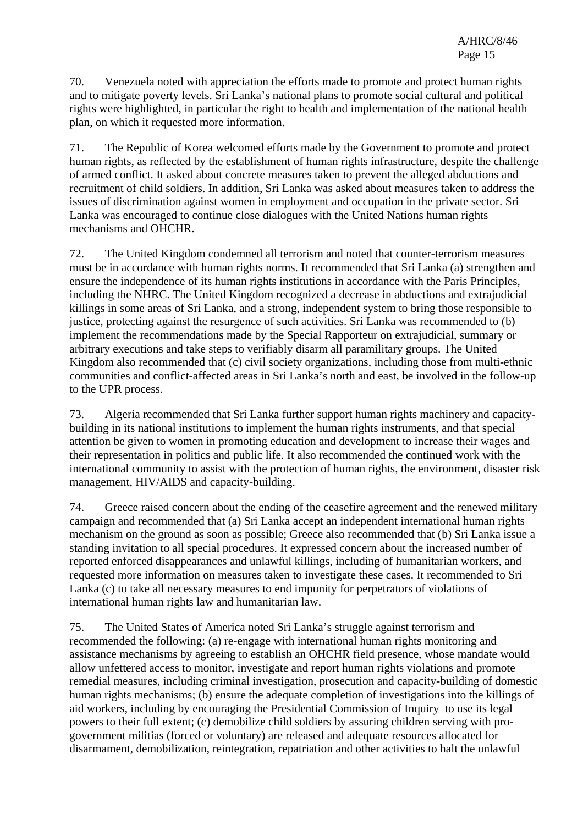70. Venezuela noted with appreciation the efforts made to promote and protect human rights and to mitigate poverty levels. Sri Lanka's national plans to promote social cultural and political rights were highlighted, in particular the right to health and implementation of the national health plan, on which it requested more information.

71. The Republic of Korea welcomed efforts made by the Government to promote and protect human rights, as reflected by the establishment of human rights infrastructure, despite the challenge of armed conflict. It asked about concrete measures taken to prevent the alleged abductions and recruitment of child soldiers. In addition, Sri Lanka was asked about measures taken to address the issues of discrimination against women in employment and occupation in the private sector. Sri Lanka was encouraged to continue close dialogues with the United Nations human rights mechanisms and OHCHR.

72. The United Kingdom condemned all terrorism and noted that counter-terrorism measures must be in accordance with human rights norms. It recommended that Sri Lanka (a) strengthen and ensure the independence of its human rights institutions in accordance with the Paris Principles, including the NHRC. The United Kingdom recognized a decrease in abductions and extrajudicial killings in some areas of Sri Lanka, and a strong, independent system to bring those responsible to justice, protecting against the resurgence of such activities. Sri Lanka was recommended to (b) implement the recommendations made by the Special Rapporteur on extrajudicial, summary or arbitrary executions and take steps to verifiably disarm all paramilitary groups. The United Kingdom also recommended that (c) civil society organizations, including those from multi-ethnic communities and conflict-affected areas in Sri Lanka's north and east, be involved in the follow-up to the UPR process.

73. Algeria recommended that Sri Lanka further support human rights machinery and capacitybuilding in its national institutions to implement the human rights instruments, and that special attention be given to women in promoting education and development to increase their wages and their representation in politics and public life. It also recommended the continued work with the international community to assist with the protection of human rights, the environment, disaster risk management, HIV/AIDS and capacity-building.

74. Greece raised concern about the ending of the ceasefire agreement and the renewed military campaign and recommended that (a) Sri Lanka accept an independent international human rights mechanism on the ground as soon as possible; Greece also recommended that (b) Sri Lanka issue a standing invitation to all special procedures. It expressed concern about the increased number of reported enforced disappearances and unlawful killings, including of humanitarian workers, and requested more information on measures taken to investigate these cases. It recommended to Sri Lanka (c) to take all necessary measures to end impunity for perpetrators of violations of international human rights law and humanitarian law.

75. The United States of America noted Sri Lanka's struggle against terrorism and recommended the following: (a) re-engage with international human rights monitoring and assistance mechanisms by agreeing to establish an OHCHR field presence, whose mandate would allow unfettered access to monitor, investigate and report human rights violations and promote remedial measures, including criminal investigation, prosecution and capacity-building of domestic human rights mechanisms; (b) ensure the adequate completion of investigations into the killings of aid workers, including by encouraging the Presidential Commission of Inquiry to use its legal powers to their full extent; (c) demobilize child soldiers by assuring children serving with progovernment militias (forced or voluntary) are released and adequate resources allocated for disarmament, demobilization, reintegration, repatriation and other activities to halt the unlawful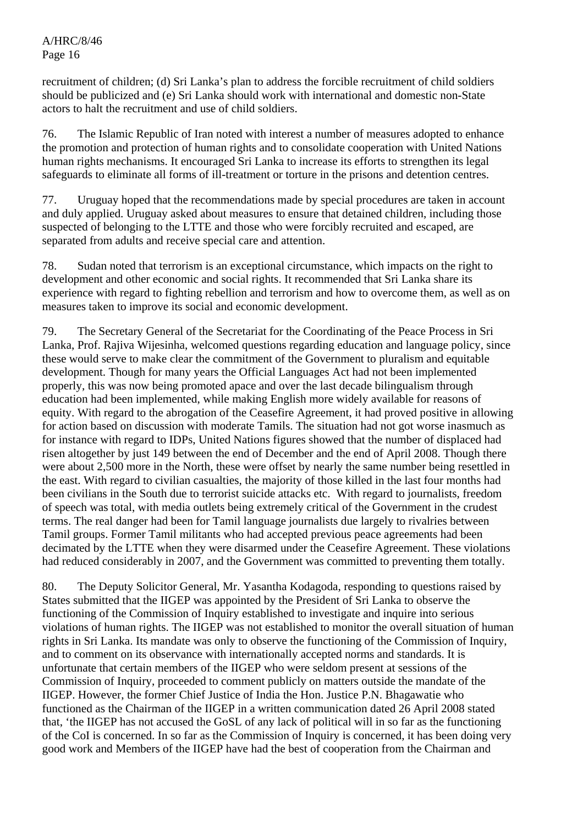recruitment of children; (d) Sri Lanka's plan to address the forcible recruitment of child soldiers should be publicized and (e) Sri Lanka should work with international and domestic non-State actors to halt the recruitment and use of child soldiers.

76. The Islamic Republic of Iran noted with interest a number of measures adopted to enhance the promotion and protection of human rights and to consolidate cooperation with United Nations human rights mechanisms. It encouraged Sri Lanka to increase its efforts to strengthen its legal safeguards to eliminate all forms of ill-treatment or torture in the prisons and detention centres.

77. Uruguay hoped that the recommendations made by special procedures are taken in account and duly applied. Uruguay asked about measures to ensure that detained children, including those suspected of belonging to the LTTE and those who were forcibly recruited and escaped, are separated from adults and receive special care and attention.

78. Sudan noted that terrorism is an exceptional circumstance, which impacts on the right to development and other economic and social rights. It recommended that Sri Lanka share its experience with regard to fighting rebellion and terrorism and how to overcome them, as well as on measures taken to improve its social and economic development.

79. The Secretary General of the Secretariat for the Coordinating of the Peace Process in Sri Lanka, Prof. Rajiva Wijesinha, welcomed questions regarding education and language policy, since these would serve to make clear the commitment of the Government to pluralism and equitable development. Though for many years the Official Languages Act had not been implemented properly, this was now being promoted apace and over the last decade bilingualism through education had been implemented, while making English more widely available for reasons of equity. With regard to the abrogation of the Ceasefire Agreement, it had proved positive in allowing for action based on discussion with moderate Tamils. The situation had not got worse inasmuch as for instance with regard to IDPs, United Nations figures showed that the number of displaced had risen altogether by just 149 between the end of December and the end of April 2008. Though there were about 2,500 more in the North, these were offset by nearly the same number being resettled in the east. With regard to civilian casualties, the majority of those killed in the last four months had been civilians in the South due to terrorist suicide attacks etc. With regard to journalists, freedom of speech was total, with media outlets being extremely critical of the Government in the crudest terms. The real danger had been for Tamil language journalists due largely to rivalries between Tamil groups. Former Tamil militants who had accepted previous peace agreements had been decimated by the LTTE when they were disarmed under the Ceasefire Agreement. These violations had reduced considerably in 2007, and the Government was committed to preventing them totally.

80. The Deputy Solicitor General, Mr. Yasantha Kodagoda, responding to questions raised by States submitted that the IIGEP was appointed by the President of Sri Lanka to observe the functioning of the Commission of Inquiry established to investigate and inquire into serious violations of human rights. The IIGEP was not established to monitor the overall situation of human rights in Sri Lanka. Its mandate was only to observe the functioning of the Commission of Inquiry, and to comment on its observance with internationally accepted norms and standards. It is unfortunate that certain members of the IIGEP who were seldom present at sessions of the Commission of Inquiry, proceeded to comment publicly on matters outside the mandate of the IIGEP. However, the former Chief Justice of India the Hon. Justice P.N. Bhagawatie who functioned as the Chairman of the IIGEP in a written communication dated 26 April 2008 stated that, 'the IIGEP has not accused the GoSL of any lack of political will in so far as the functioning of the CoI is concerned. In so far as the Commission of Inquiry is concerned, it has been doing very good work and Members of the IIGEP have had the best of cooperation from the Chairman and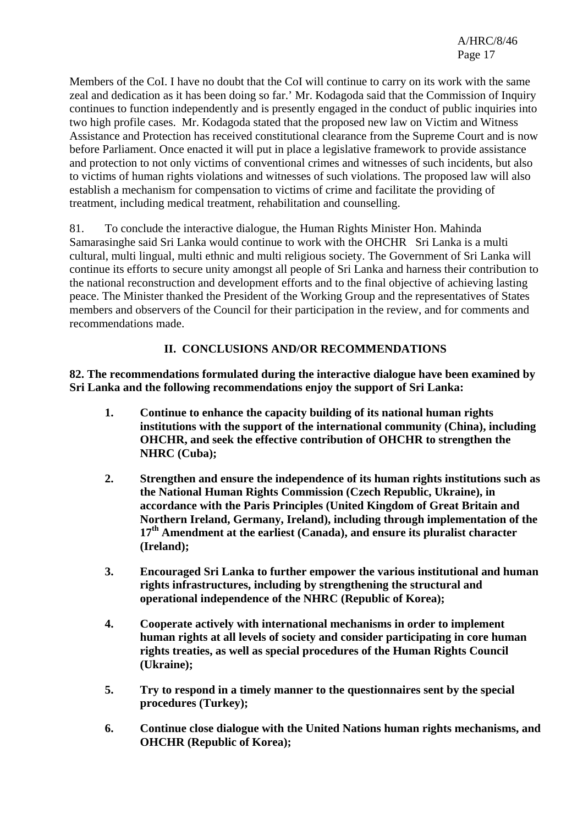Members of the CoI. I have no doubt that the CoI will continue to carry on its work with the same zeal and dedication as it has been doing so far.' Mr. Kodagoda said that the Commission of Inquiry continues to function independently and is presently engaged in the conduct of public inquiries into two high profile cases. Mr. Kodagoda stated that the proposed new law on Victim and Witness Assistance and Protection has received constitutional clearance from the Supreme Court and is now before Parliament. Once enacted it will put in place a legislative framework to provide assistance and protection to not only victims of conventional crimes and witnesses of such incidents, but also to victims of human rights violations and witnesses of such violations. The proposed law will also establish a mechanism for compensation to victims of crime and facilitate the providing of treatment, including medical treatment, rehabilitation and counselling.

81. To conclude the interactive dialogue, the Human Rights Minister Hon. Mahinda Samarasinghe said Sri Lanka would continue to work with the OHCHR Sri Lanka is a multi cultural, multi lingual, multi ethnic and multi religious society. The Government of Sri Lanka will continue its efforts to secure unity amongst all people of Sri Lanka and harness their contribution to the national reconstruction and development efforts and to the final objective of achieving lasting peace. The Minister thanked the President of the Working Group and the representatives of States members and observers of the Council for their participation in the review, and for comments and recommendations made.

#### **II. CONCLUSIONS AND/OR RECOMMENDATIONS**

**82. The recommendations formulated during the interactive dialogue have been examined by Sri Lanka and the following recommendations enjoy the support of Sri Lanka:** 

- **1. Continue to enhance the capacity building of its national human rights institutions with the support of the international community (China), including OHCHR, and seek the effective contribution of OHCHR to strengthen the NHRC (Cuba);**
- **2. Strengthen and ensure the independence of its human rights institutions such as the National Human Rights Commission (Czech Republic, Ukraine), in accordance with the Paris Principles (United Kingdom of Great Britain and Northern Ireland, Germany, Ireland), including through implementation of the 17th Amendment at the earliest (Canada), and ensure its pluralist character (Ireland);**
- **3. Encouraged Sri Lanka to further empower the various institutional and human rights infrastructures, including by strengthening the structural and operational independence of the NHRC (Republic of Korea);**
- **4. Cooperate actively with international mechanisms in order to implement human rights at all levels of society and consider participating in core human rights treaties, as well as special procedures of the Human Rights Council (Ukraine);**
- **5. Try to respond in a timely manner to the questionnaires sent by the special procedures (Turkey);**
- **6. Continue close dialogue with the United Nations human rights mechanisms, and OHCHR (Republic of Korea);**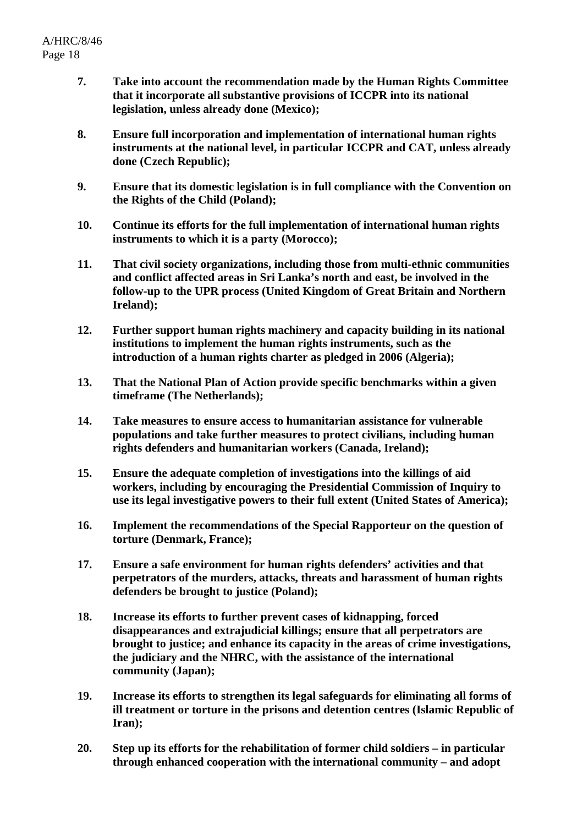- **7. Take into account the recommendation made by the Human Rights Committee that it incorporate all substantive provisions of ICCPR into its national legislation, unless already done (Mexico);**
- **8. Ensure full incorporation and implementation of international human rights instruments at the national level, in particular ICCPR and CAT, unless already done (Czech Republic);**
- **9. Ensure that its domestic legislation is in full compliance with the Convention on the Rights of the Child (Poland);**
- **10. Continue its efforts for the full implementation of international human rights instruments to which it is a party (Morocco);**
- **11. That civil society organizations, including those from multi-ethnic communities and conflict affected areas in Sri Lanka's north and east, be involved in the follow-up to the UPR process (United Kingdom of Great Britain and Northern Ireland);**
- **12. Further support human rights machinery and capacity building in its national institutions to implement the human rights instruments, such as the introduction of a human rights charter as pledged in 2006 (Algeria);**
- **13. That the National Plan of Action provide specific benchmarks within a given timeframe (The Netherlands);**
- **14. Take measures to ensure access to humanitarian assistance for vulnerable populations and take further measures to protect civilians, including human rights defenders and humanitarian workers (Canada, Ireland);**
- **15. Ensure the adequate completion of investigations into the killings of aid workers, including by encouraging the Presidential Commission of Inquiry to use its legal investigative powers to their full extent (United States of America);**
- **16. Implement the recommendations of the Special Rapporteur on the question of torture (Denmark, France);**
- **17. Ensure a safe environment for human rights defenders' activities and that perpetrators of the murders, attacks, threats and harassment of human rights defenders be brought to justice (Poland);**
- **18. Increase its efforts to further prevent cases of kidnapping, forced disappearances and extrajudicial killings; ensure that all perpetrators are brought to justice; and enhance its capacity in the areas of crime investigations, the judiciary and the NHRC, with the assistance of the international community (Japan);**
- **19. Increase its efforts to strengthen its legal safeguards for eliminating all forms of ill treatment or torture in the prisons and detention centres (Islamic Republic of Iran);**
- **20. Step up its efforts for the rehabilitation of former child soldiers in particular through enhanced cooperation with the international community – and adopt**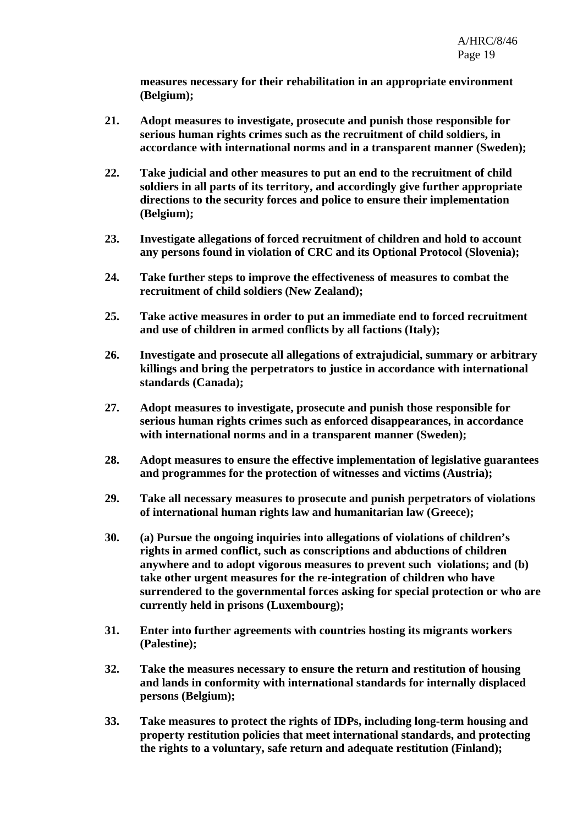**measures necessary for their rehabilitation in an appropriate environment (Belgium);** 

- **21. Adopt measures to investigate, prosecute and punish those responsible for serious human rights crimes such as the recruitment of child soldiers, in accordance with international norms and in a transparent manner (Sweden);**
- **22. Take judicial and other measures to put an end to the recruitment of child soldiers in all parts of its territory, and accordingly give further appropriate directions to the security forces and police to ensure their implementation (Belgium);**
- **23. Investigate allegations of forced recruitment of children and hold to account any persons found in violation of CRC and its Optional Protocol (Slovenia);**
- **24. Take further steps to improve the effectiveness of measures to combat the recruitment of child soldiers (New Zealand);**
- **25. Take active measures in order to put an immediate end to forced recruitment and use of children in armed conflicts by all factions (Italy);**
- **26. Investigate and prosecute all allegations of extrajudicial, summary or arbitrary killings and bring the perpetrators to justice in accordance with international standards (Canada);**
- **27. Adopt measures to investigate, prosecute and punish those responsible for serious human rights crimes such as enforced disappearances, in accordance with international norms and in a transparent manner (Sweden);**
- **28. Adopt measures to ensure the effective implementation of legislative guarantees and programmes for the protection of witnesses and victims (Austria);**
- **29. Take all necessary measures to prosecute and punish perpetrators of violations of international human rights law and humanitarian law (Greece);**
- **30. (a) Pursue the ongoing inquiries into allegations of violations of children's rights in armed conflict, such as conscriptions and abductions of children anywhere and to adopt vigorous measures to prevent such violations; and (b) take other urgent measures for the re-integration of children who have surrendered to the governmental forces asking for special protection or who are currently held in prisons (Luxembourg);**
- **31. Enter into further agreements with countries hosting its migrants workers (Palestine);**
- **32. Take the measures necessary to ensure the return and restitution of housing and lands in conformity with international standards for internally displaced persons (Belgium);**
- **33. Take measures to protect the rights of IDPs, including long-term housing and property restitution policies that meet international standards, and protecting the rights to a voluntary, safe return and adequate restitution (Finland);**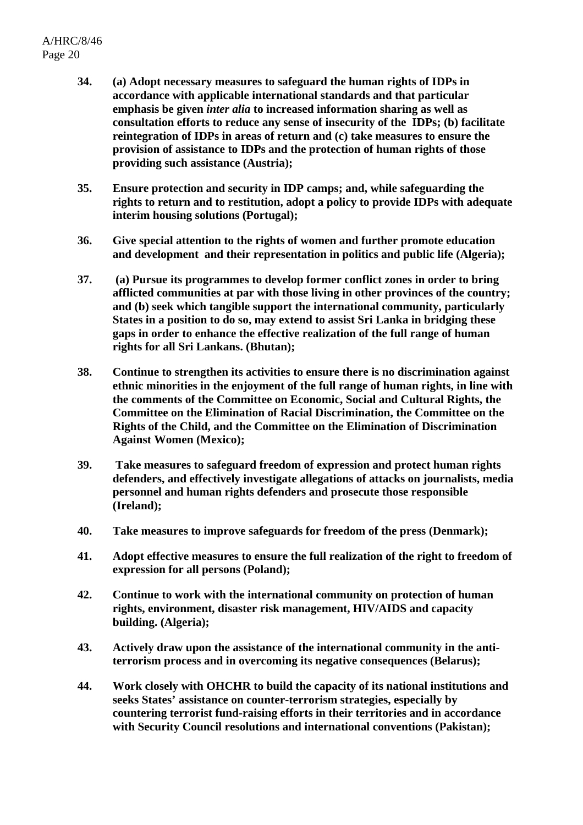- **34. (a) Adopt necessary measures to safeguard the human rights of IDPs in accordance with applicable international standards and that particular emphasis be given** *inter alia* **to increased information sharing as well as consultation efforts to reduce any sense of insecurity of the IDPs; (b) facilitate reintegration of IDPs in areas of return and (c) take measures to ensure the provision of assistance to IDPs and the protection of human rights of those providing such assistance (Austria);**
- **35. Ensure protection and security in IDP camps; and, while safeguarding the rights to return and to restitution, adopt a policy to provide IDPs with adequate interim housing solutions (Portugal);**
- **36. Give special attention to the rights of women and further promote education and development and their representation in politics and public life (Algeria);**
- **37. (a) Pursue its programmes to develop former conflict zones in order to bring afflicted communities at par with those living in other provinces of the country; and (b) seek which tangible support the international community, particularly States in a position to do so, may extend to assist Sri Lanka in bridging these gaps in order to enhance the effective realization of the full range of human rights for all Sri Lankans. (Bhutan);**
- **38. Continue to strengthen its activities to ensure there is no discrimination against ethnic minorities in the enjoyment of the full range of human rights, in line with the comments of the Committee on Economic, Social and Cultural Rights, the Committee on the Elimination of Racial Discrimination, the Committee on the Rights of the Child, and the Committee on the Elimination of Discrimination Against Women (Mexico);**
- **39. Take measures to safeguard freedom of expression and protect human rights defenders, and effectively investigate allegations of attacks on journalists, media personnel and human rights defenders and prosecute those responsible (Ireland);**
- **40. Take measures to improve safeguards for freedom of the press (Denmark);**
- **41. Adopt effective measures to ensure the full realization of the right to freedom of expression for all persons (Poland);**
- **42. Continue to work with the international community on protection of human rights, environment, disaster risk management, HIV/AIDS and capacity building. (Algeria);**
- **43. Actively draw upon the assistance of the international community in the antiterrorism process and in overcoming its negative consequences (Belarus);**
- **44. Work closely with OHCHR to build the capacity of its national institutions and seeks States' assistance on counter-terrorism strategies, especially by countering terrorist fund-raising efforts in their territories and in accordance with Security Council resolutions and international conventions (Pakistan);**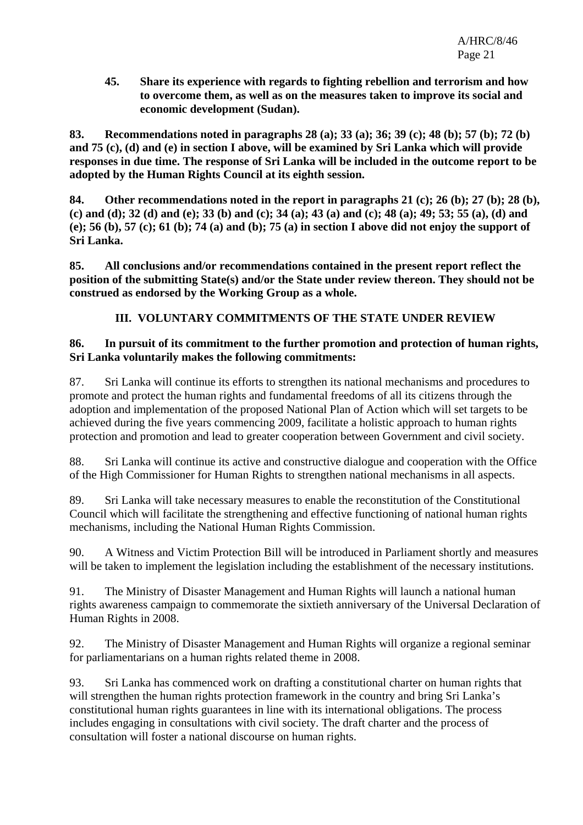**45. Share its experience with regards to fighting rebellion and terrorism and how to overcome them, as well as on the measures taken to improve its social and economic development (Sudan).** 

**83. Recommendations noted in paragraphs 28 (a); 33 (a); 36; 39 (c); 48 (b); 57 (b); 72 (b) and 75 (c), (d) and (e) in section I above, will be examined by Sri Lanka which will provide responses in due time. The response of Sri Lanka will be included in the outcome report to be adopted by the Human Rights Council at its eighth session.** 

**84. Other recommendations noted in the report in paragraphs 21 (c); 26 (b); 27 (b); 28 (b), (c) and (d); 32 (d) and (e); 33 (b) and (c); 34 (a); 43 (a) and (c); 48 (a); 49; 53; 55 (a), (d) and (e); 56 (b), 57 (c); 61 (b); 74 (a) and (b); 75 (a) in section I above did not enjoy the support of Sri Lanka.** 

**85. All conclusions and/or recommendations contained in the present report reflect the position of the submitting State(s) and/or the State under review thereon. They should not be construed as endorsed by the Working Group as a whole.** 

# **III. VOLUNTARY COMMITMENTS OF THE STATE UNDER REVIEW**

#### **86. In pursuit of its commitment to the further promotion and protection of human rights, Sri Lanka voluntarily makes the following commitments:**

87. Sri Lanka will continue its efforts to strengthen its national mechanisms and procedures to promote and protect the human rights and fundamental freedoms of all its citizens through the adoption and implementation of the proposed National Plan of Action which will set targets to be achieved during the five years commencing 2009, facilitate a holistic approach to human rights protection and promotion and lead to greater cooperation between Government and civil society.

88. Sri Lanka will continue its active and constructive dialogue and cooperation with the Office of the High Commissioner for Human Rights to strengthen national mechanisms in all aspects.

89. Sri Lanka will take necessary measures to enable the reconstitution of the Constitutional Council which will facilitate the strengthening and effective functioning of national human rights mechanisms, including the National Human Rights Commission.

90. A Witness and Victim Protection Bill will be introduced in Parliament shortly and measures will be taken to implement the legislation including the establishment of the necessary institutions.

91. The Ministry of Disaster Management and Human Rights will launch a national human rights awareness campaign to commemorate the sixtieth anniversary of the Universal Declaration of Human Rights in 2008.

92. The Ministry of Disaster Management and Human Rights will organize a regional seminar for parliamentarians on a human rights related theme in 2008.

93. Sri Lanka has commenced work on drafting a constitutional charter on human rights that will strengthen the human rights protection framework in the country and bring Sri Lanka's constitutional human rights guarantees in line with its international obligations. The process includes engaging in consultations with civil society. The draft charter and the process of consultation will foster a national discourse on human rights.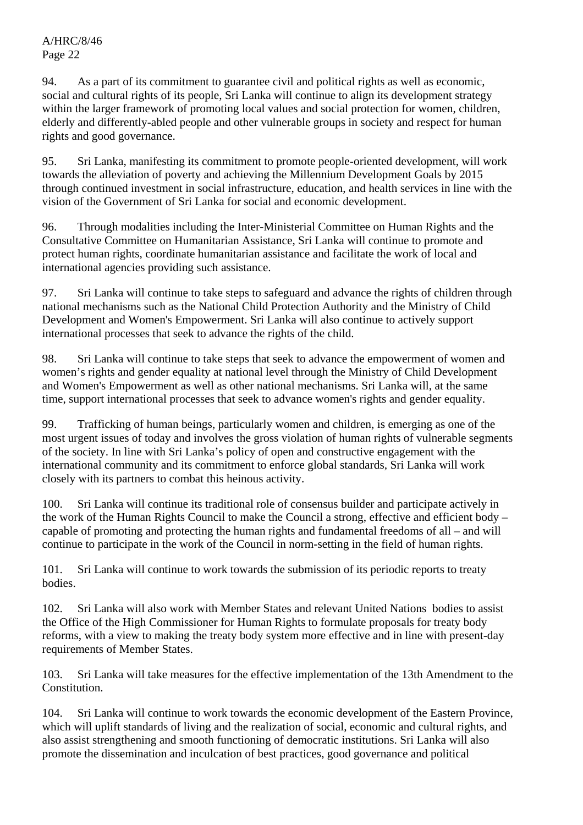94. As a part of its commitment to guarantee civil and political rights as well as economic, social and cultural rights of its people, Sri Lanka will continue to align its development strategy within the larger framework of promoting local values and social protection for women, children, elderly and differently-abled people and other vulnerable groups in society and respect for human rights and good governance.

95. Sri Lanka, manifesting its commitment to promote people-oriented development, will work towards the alleviation of poverty and achieving the Millennium Development Goals by 2015 through continued investment in social infrastructure, education, and health services in line with the vision of the Government of Sri Lanka for social and economic development.

96. Through modalities including the Inter-Ministerial Committee on Human Rights and the Consultative Committee on Humanitarian Assistance, Sri Lanka will continue to promote and protect human rights, coordinate humanitarian assistance and facilitate the work of local and international agencies providing such assistance.

97. Sri Lanka will continue to take steps to safeguard and advance the rights of children through national mechanisms such as the National Child Protection Authority and the Ministry of Child Development and Women's Empowerment. Sri Lanka will also continue to actively support international processes that seek to advance the rights of the child.

98. Sri Lanka will continue to take steps that seek to advance the empowerment of women and women's rights and gender equality at national level through the Ministry of Child Development and Women's Empowerment as well as other national mechanisms. Sri Lanka will, at the same time, support international processes that seek to advance women's rights and gender equality.

99. Trafficking of human beings, particularly women and children, is emerging as one of the most urgent issues of today and involves the gross violation of human rights of vulnerable segments of the society. In line with Sri Lanka's policy of open and constructive engagement with the international community and its commitment to enforce global standards, Sri Lanka will work closely with its partners to combat this heinous activity.

100. Sri Lanka will continue its traditional role of consensus builder and participate actively in the work of the Human Rights Council to make the Council a strong, effective and efficient body – capable of promoting and protecting the human rights and fundamental freedoms of all – and will continue to participate in the work of the Council in norm-setting in the field of human rights.

101. Sri Lanka will continue to work towards the submission of its periodic reports to treaty bodies.

102. Sri Lanka will also work with Member States and relevant United Nations bodies to assist the Office of the High Commissioner for Human Rights to formulate proposals for treaty body reforms, with a view to making the treaty body system more effective and in line with present-day requirements of Member States.

103. Sri Lanka will take measures for the effective implementation of the 13th Amendment to the Constitution.

104. Sri Lanka will continue to work towards the economic development of the Eastern Province, which will uplift standards of living and the realization of social, economic and cultural rights, and also assist strengthening and smooth functioning of democratic institutions. Sri Lanka will also promote the dissemination and inculcation of best practices, good governance and political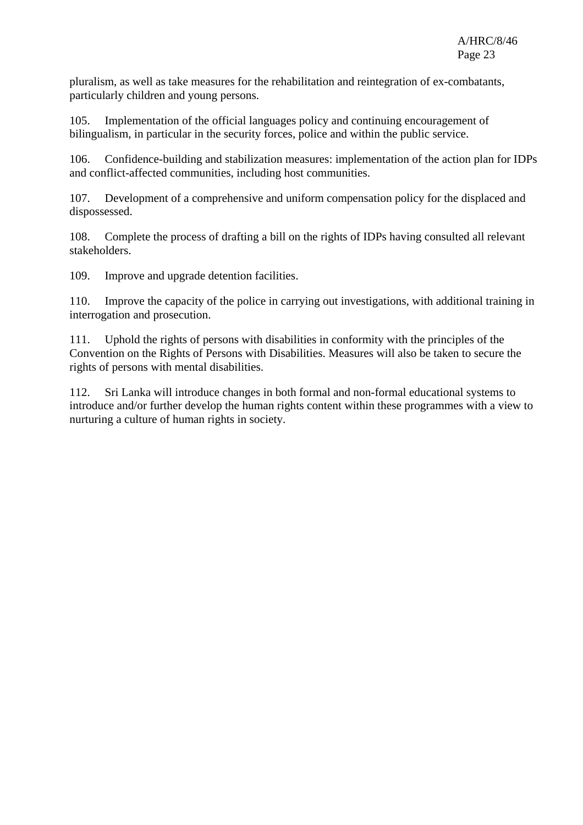pluralism, as well as take measures for the rehabilitation and reintegration of ex-combatants, particularly children and young persons.

105. Implementation of the official languages policy and continuing encouragement of bilingualism, in particular in the security forces, police and within the public service.

106. Confidence-building and stabilization measures: implementation of the action plan for IDPs and conflict-affected communities, including host communities.

107. Development of a comprehensive and uniform compensation policy for the displaced and dispossessed.

108. Complete the process of drafting a bill on the rights of IDPs having consulted all relevant stakeholders.

109. Improve and upgrade detention facilities.

110. Improve the capacity of the police in carrying out investigations, with additional training in interrogation and prosecution.

111. Uphold the rights of persons with disabilities in conformity with the principles of the Convention on the Rights of Persons with Disabilities. Measures will also be taken to secure the rights of persons with mental disabilities.

112. Sri Lanka will introduce changes in both formal and non-formal educational systems to introduce and/or further develop the human rights content within these programmes with a view to nurturing a culture of human rights in society.